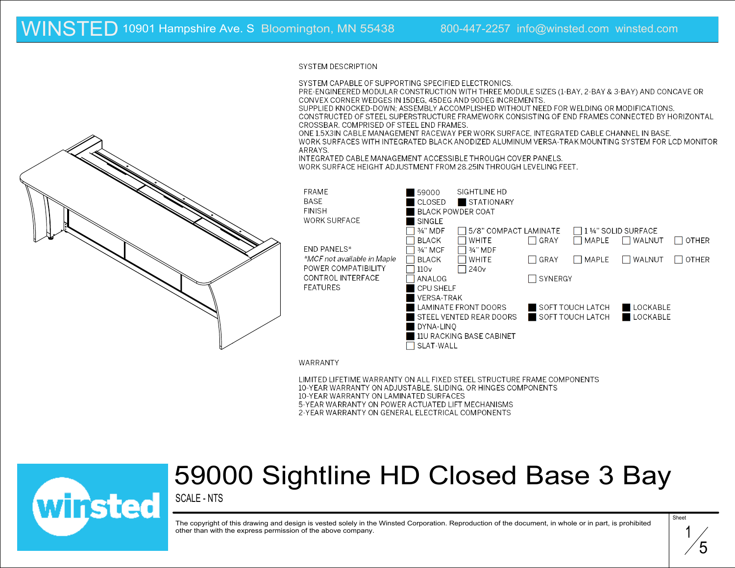#### SYSTEM DESCRIPTION

SYSTEM CAPABLE OF SUPPORTING SPECIFIED ELECTRONICS.

PRE-ENGINEERED MODULAR CONSTRUCTION WITH THREE MODULE SIZES (1-BAY, 2-BAY & 3-BAY) AND CONCAVE OR CONVEX CORNER WEDGES IN 15DEG, 45DEG AND 90DEG INCREMENTS.

SUPPLIED KNOCKED-DOWN; ASSEMBLY ACCOMPLISHED WITHOUT NEED FOR WELDING OR MODIFICATIONS. CONSTRUCTED OF STEEL SUPERSTRUCTURE FRAMEWORK CONSISTING OF END FRAMES CONNECTED BY HORIZONTAL CROSSBAR, COMPRISED OF STEEL END FRAMES.

ONE 1.5X3IN CABLE MANAGEMENT RACEWAY PER WORK SURFACE, INTEGRATED CABLE CHANNEL IN BASE.

WORK SURFACES WITH INTEGRATED BLACK ANODIZED ALUMINUM VERSA-TRAK MOUNTING SYSTEM FOR LCD MONITOR ARRAYS.

INTEGRATED CABLE MANAGEMENT ACCESSIBLE THROUGH COVER PANELS.

WORK SURFACE HEIGHT ADJUSTMENT FROM 28.25IN THROUGH LEVELING FEET.

| <b>FRAME</b>       |                             | 59000                   | SIGHTLINE HD             |                  |       |                    |              |
|--------------------|-----------------------------|-------------------------|--------------------------|------------------|-------|--------------------|--------------|
| <b>BASE</b>        |                             | CLOSED                  | <b>STATIONARY</b>        |                  |       |                    |              |
| <b>FINISH</b>      |                             |                         | <b>BLACK POWDER COAT</b> |                  |       |                    |              |
|                    | <b>WORK SURFACE</b>         | SINGLE                  |                          |                  |       |                    |              |
|                    |                             | 3/4" MDF                | 5/8" COMPACT LAMINATE    |                  |       | 1 ¼" SOLID SURFACE |              |
|                    |                             | <b>BLACK</b>            | <b>WHITE</b>             | $\Box$ GRAY      | MAPLE | WALNUT             | <b>OTHER</b> |
| <b>END PANELS*</b> |                             | 3/4" MCF                | 3⁄4" MDF                 |                  |       |                    |              |
|                    | *MCF not available in Maple | <b>BLACK</b>            | <b>WHITE</b>             | GRAY             | MAPLE | WALNUT             | <b>OTHER</b> |
|                    | POWER COMPATIBILITY         | 110v                    | 240 <sub>v</sub>         |                  |       |                    |              |
|                    | CONTROL INTERFACE           | ANALOG                  |                          | SYNERGY          |       |                    |              |
| <b>FEATURES</b>    |                             | <b>CPU SHELF</b>        |                          |                  |       |                    |              |
|                    |                             | <b>VERSA-TRAK</b>       |                          |                  |       |                    |              |
|                    |                             | LAMINATE FRONT DOORS    |                          | SOFT TOUCH LATCH |       | LOCKABLE           |              |
|                    |                             | STEEL VENTED REAR DOORS |                          | SOFT TOUCH LATCH |       |                    | LOCKABLE     |
|                    | DYNA-LINO                   |                         |                          |                  |       |                    |              |
|                    |                             |                         | 11U RACKING BASE CABINET |                  |       |                    |              |
|                    |                             | SLAT-WALL               |                          |                  |       |                    |              |

WARRANTY

LIMITED LIFETIME WARRANTY ON ALL FIXED STEEL STRUCTURE FRAME COMPONENTS 10-YEAR WARRANTY ON ADJUSTABLE, SLIDING, OR HINGES COMPONENTS 10-YEAR WARRANTY ON LAMINATED SURFACES 5-YEAR WARRANTY ON POWER ACTUATED LIFT MECHANISMS 2-YEAR WARRANTY ON GENERAL ELECTRICAL COMPONENTS



## 59000 Sightline HD Closed Base 3 Bay

SCALE - NTS

The copyright of this drawing and design is vested solely in the Winsted Corporation. Reproduction of the document, in whole or in part, is prohibited other than with the express permission of the above company.

1 5

Sheet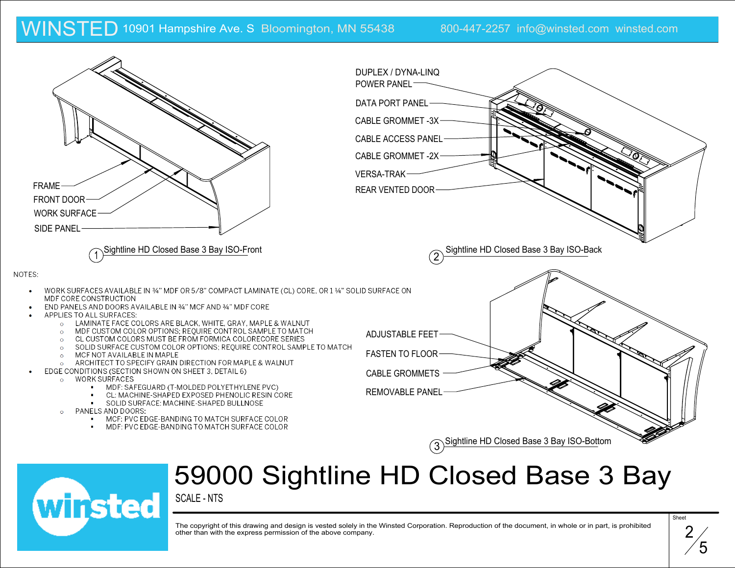

## 59000 Sightline HD Closed Base 3 Bay

SCALE - NTS

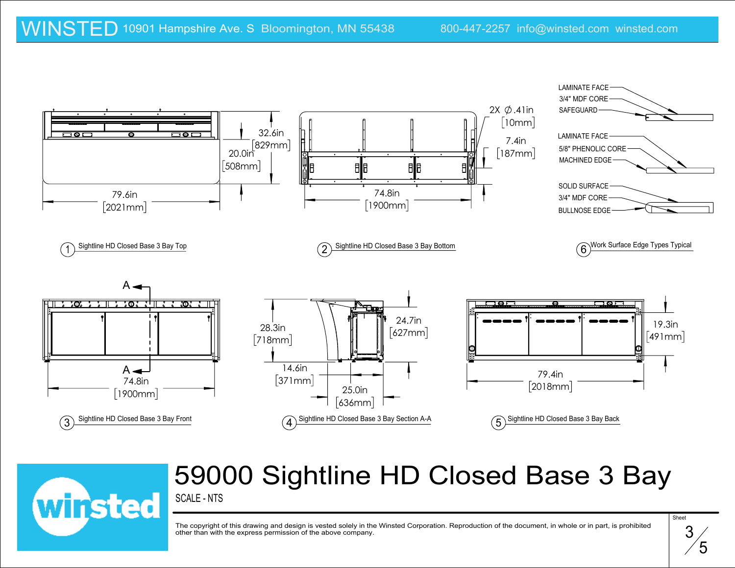

### SCALE - NTS 59000 Sightline HD Closed Base 3 Bay



$$
\overset{\text{Sheet}}{\mathbf{3}} \\
$$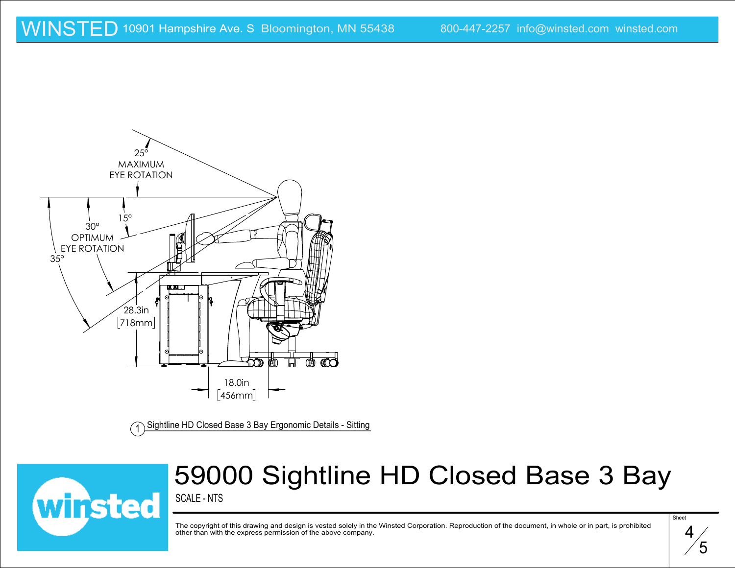

Sightline HD Closed Base 3 Bay Ergonomic Details - Sitting



# 59000 Sightline HD Closed Base 3 Bay

SCALE - NTS

$$
\overbrace{f}^{\text{Sheet}}
$$